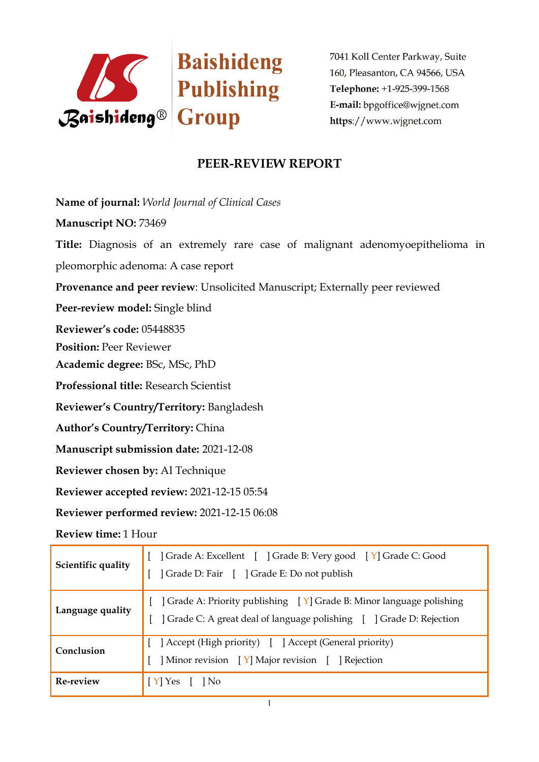

# **PEER-REVIEW REPORT**

**Name of journal:** *World Journal ofClinical Cases*

**Manuscript NO:** 73469

**Title:** Diagnosis of an extremely rare case of malignant adenomyoepithelioma in pleomorphic adenoma: A case report

**Provenance and peer review**: Unsolicited Manuscript; Externally peer reviewed

**Peer-review model:** Single blind

**Reviewer's code:** 05448835

**Position:** Peer Reviewer

**Academic degree:** BSc, MSc, PhD

**Professional title:** Research Scientist

**Reviewer's Country/Territory:** Bangladesh

**Author's Country/Territory:** China

**Manuscript submission date:** 2021-12-08

**Reviewer chosen by:** AI Technique

**Reviewer accepted review:** 2021-12-15 05:54

**Reviewer performed review:** 2021-12-15 06:08

**Review time:** 1 Hour

| Scientific quality | Grade A: Excellent [ ] Grade B: Very good [ Y] Grade C: Good<br>Grade D: Fair [ ] Grade E: Do not publish                                    |
|--------------------|----------------------------------------------------------------------------------------------------------------------------------------------|
| Language quality   | ] Grade A: Priority publishing [Y] Grade B: Minor language polishing<br>] Grade C: A great deal of language polishing [ ] Grade D: Rejection |
| Conclusion         | [ Accept (High priority) [ ] Accept (General priority)<br>Minor revision [Y] Major revision [ ] Rejection                                    |
| Re-review          | Y <sup>1</sup> Yes<br>  No                                                                                                                   |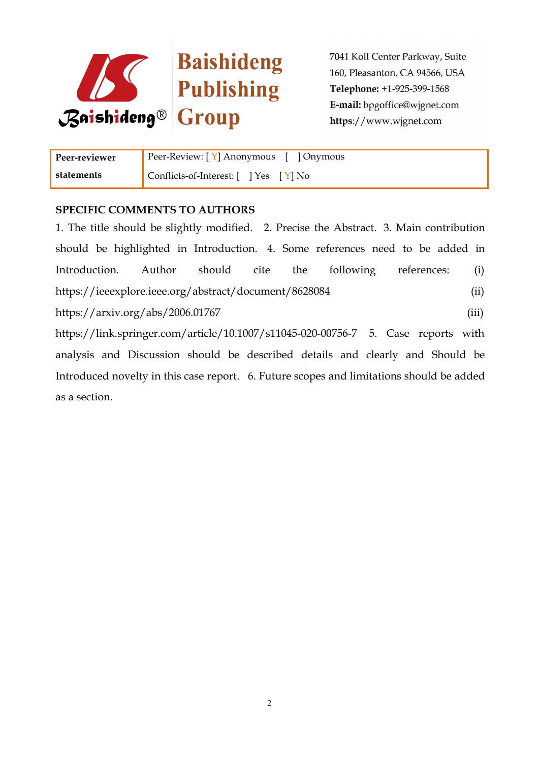

| Peer-reviewer | Peer-Review: [Y] Anonymous [ ] Onymous |
|---------------|----------------------------------------|
| statements    | Conflicts-of-Interest: [ ] Yes [ Y] No |

### **SPECIFIC COMMENTS TO AUTHORS**

1. The title should be slightly modified. 2. Precise the Abstract.3. Main contribution should be highlighted in Introduction. 4. Some references need to be added in Introduction. Author should cite the following references: (i) https://ieeexplore.ieee.org/abstract/document/8628084 (ii) https://arxiv.org/abs/2006.01767 (iii) https://link.springer.com/article/10.1007/s11045-020-00756-7 5. Case reports with analysis and Discussion should be described details and clearly and Should be Introduced novelty in this case report. 6. Future scopes and limitations should be added as a section.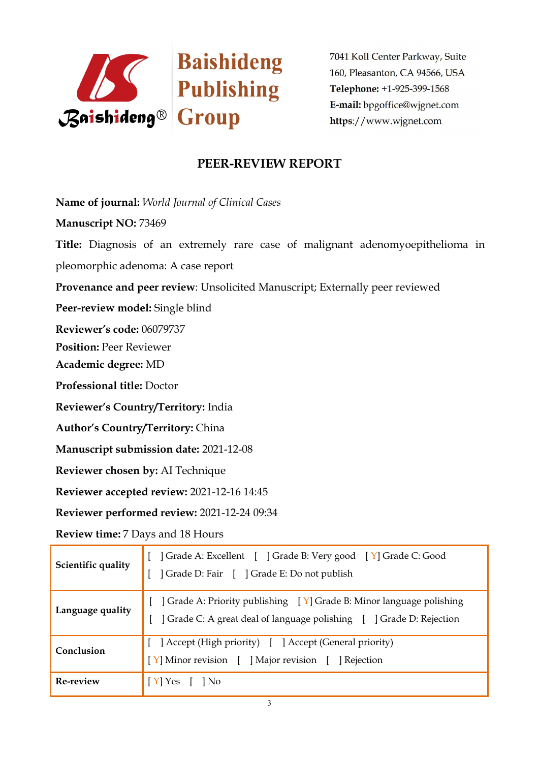

# **PEER-REVIEW REPORT**

**Name of journal:** *World Journal ofClinical Cases*

**Manuscript NO:** 73469

**Title:** Diagnosis of an extremely rare case of malignant adenomyoepithelioma in pleomorphic adenoma: A case report

**Provenance and peer review**: Unsolicited Manuscript; Externally peer reviewed

**Peer-review model:** Single blind

**Reviewer's code:** 06079737

**Position:** Peer Reviewer

**Academic degree:** MD

**Professional title:** Doctor

**Reviewer's Country/Territory:** India

**Author's Country/Territory:** China

**Manuscript submission date:** 2021-12-08

**Reviewer chosen by:** AI Technique

**Reviewer accepted review:** 2021-12-16 14:45

**Reviewer performed review:** 2021-12-24 09:34

**Review time:** 7 Days and 18 Hours

| Scientific quality | ] Grade A: Excellent [ ] Grade B: Very good [ Y] Grade C: Good<br>Grade D: Fair [ ] Grade E: Do not publish                                |  |
|--------------------|--------------------------------------------------------------------------------------------------------------------------------------------|--|
| Language quality   | ] Grade A: Priority publishing [Y] Grade B: Minor language polishing<br>Crade C: A great deal of language polishing [ ] Grade D: Rejection |  |
| Conclusion         | Accept (High priority) [ ] Accept (General priority)<br>[Y] Minor revision [ ] Major revision [ ] Rejection                                |  |
| Re-review          | $[Y]$ Yes<br>$\vert$   No                                                                                                                  |  |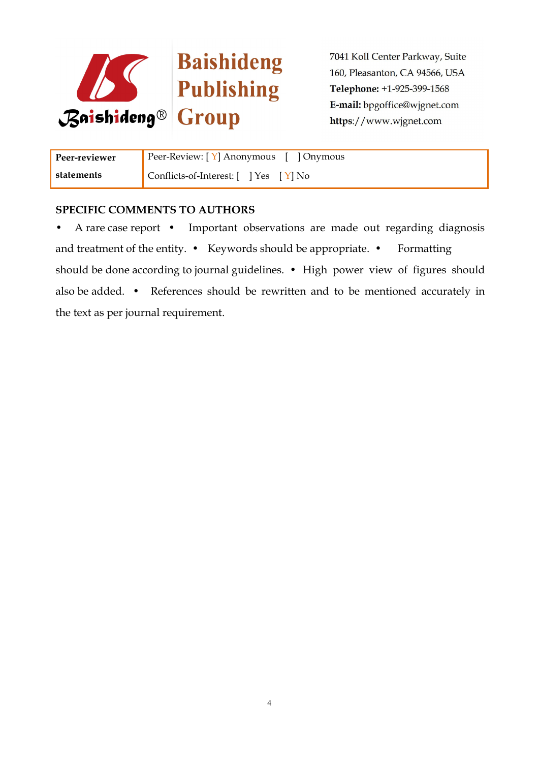

Baishideng

7041 Koll Center Parkway, Suite 160, Pleasanton, CA 94566, USA Telephone: +1-925-399-1568 E-mail: bpgoffice@wjgnet.com https://www.wjgnet.com

| Peer-reviewer | Peer-Review: [Y] Anonymous [ ] Onymous |
|---------------|----------------------------------------|
| statements    | Conflicts-of-Interest: [ ] Yes [ Y] No |

### **SPECIFIC COMMENTS TO AUTHORS**

• A rare case report • Important observations are made out regarding diagnosis and treatment of the entity. • Keywords should be appropriate. • Formatting should be done according to journal guidelines. • High power view of figures should also be added. • References should be rewritten and to be mentioned accurately in the text as per journal requirement.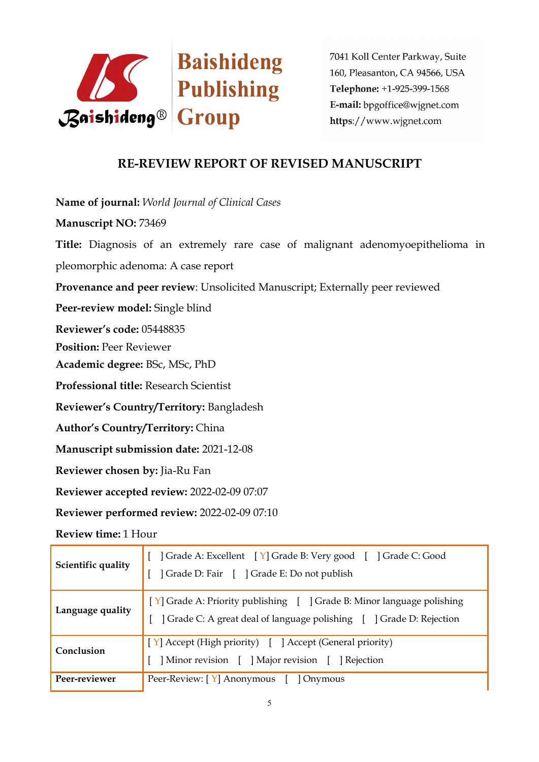

# **RE-REVIEW REPORT OF REVISED MANUSCRIPT**

**Name of journal:** *World Journal ofClinical Cases*

**Manuscript NO:** 73469

**Title:** Diagnosis of an extremely rare case of malignant adenomyoepithelioma in pleomorphic adenoma: A case report

**Provenance and peer review**: Unsolicited Manuscript; Externally peer reviewed

**Peer-review model:** Single blind

**Reviewer's code:** 05448835

**Position:** Peer Reviewer

**Academic degree:** BSc, MSc, PhD

**Professional title:** Research Scientist

**Reviewer's Country/Territory:** Bangladesh

**Author's Country/Territory:** China

**Manuscript submission date:** 2021-12-08

**Reviewer chosen by:** Jia-Ru Fan

**Reviewer accepted review:** 2022-02-09 07:07

**Reviewer performed review:** 2022-02-09 07:10

**Review time:** 1 Hour

| Scientific quality | Grade A: Excellent [Y] Grade B: Very good [] Grade C: Good<br>Grade D: Fair [ ] Grade E: Do not publish                                        |  |
|--------------------|------------------------------------------------------------------------------------------------------------------------------------------------|--|
| Language quality   | [Y] Grade A: Priority publishing [ ] Grade B: Minor language polishing<br>] Grade C: A great deal of language polishing [ ] Grade D: Rejection |  |
| Conclusion         | [Y] Accept (High priority) [ ] Accept (General priority)<br>Minor revision [ ] Major revision [ ] Rejection                                    |  |
| Peer-reviewer      | Peer-Review: [Y] Anonymous [ ] Onymous                                                                                                         |  |